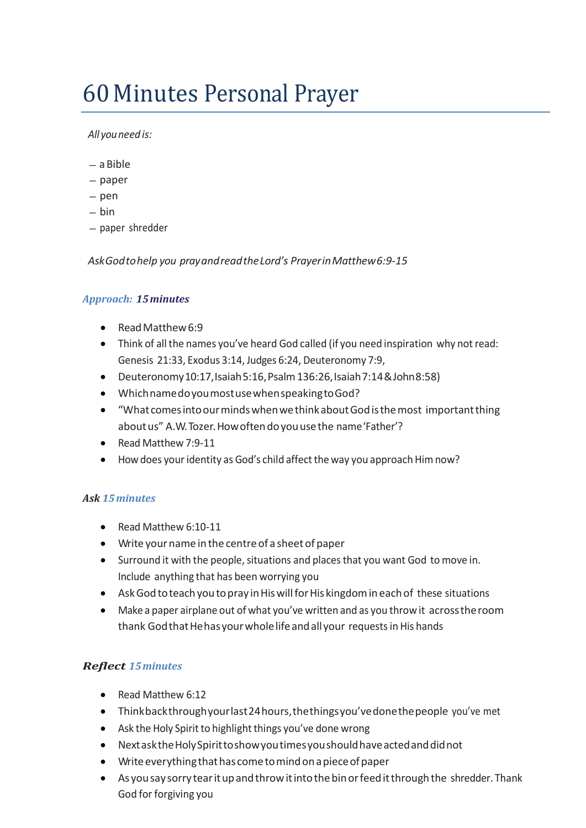# 60Minutes Personal Prayer

#### *All youneed is:*

- aBible
- paper
- pen
- bin
- paper shredder

*AskGodtohelp you prayandreadtheLord's PrayerinMatthew6:9-15*

#### *Approach: 15minutes*

- Read Matthew 6:9
- Think of all the names you've heard God called (if you need inspiration why not read: Genesis 21:33, Exodus 3:14, Judges 6:24, Deuteronomy 7:9,
- Deuteronomy10:17,Isaiah5:16,Psalm136:26,Isaiah7:14&John8:58)
- WhichnamedoyoumostusewhenspeakingtoGod?
- "What comes into our minds when we think about God is the most important thing about us" A.W. Tozer. How often do you use the name 'Father'?
- Read Matthew 7:9-11
- How does your identity as God's child affect the way you approach Him now?

## *Ask 15minutes*

- Read Matthew 6:10-11
- Write yourname in the centre of a sheet of paper
- Surround it with the people, situations and places that you want God to move in. Include anything that has been worrying you
- Ask God to teach you to pray in His will for His kingdom in each of these situations
- Make a paper airplane out of what you've written and as you throw it acrosstheroom thank God that He has your whole life and all your requests in His hands

## *Reflect 15minutes*

- Read Matthew 6:12
- Thinkbackthroughyourlast24hours,thethingsyou'vedonethepeople you've met
- Ask the Holy Spirit to highlight things you've done wrong
- NextasktheHolySpirittoshowyoutimesyoushouldhaveactedanddidnot
- Write everything that has come to mind on a piece of paper
- As you say sorry tear it up and throw it into the bin or feed it through the shredder. Thank God for forgiving you